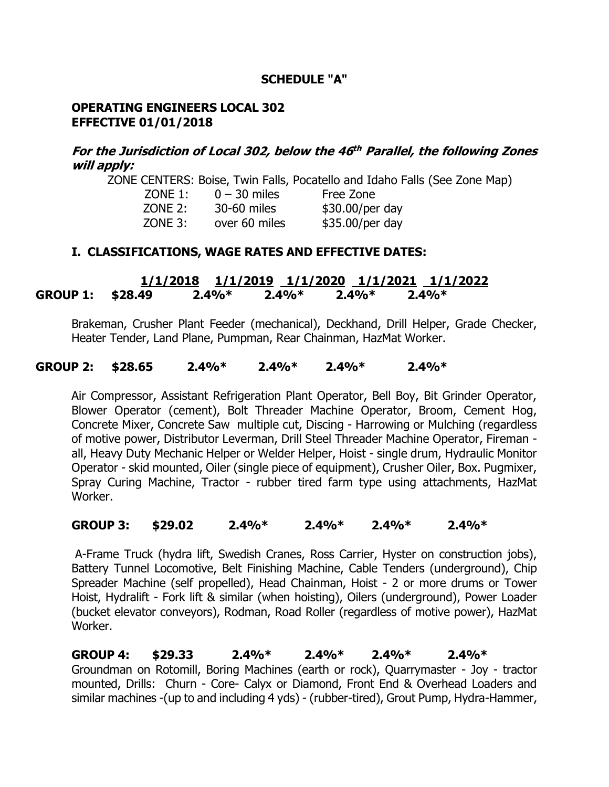### **SCHEDULE "A"**

#### **OPERATING ENGINEERS LOCAL 302 EFFECTIVE 01/01/2018**

## **For the Jurisdiction of Local 302, below the 46 th Parallel, the following Zones will apply:**

ZONE CENTERS: Boise, Twin Falls, Pocatello and Idaho Falls (See Zone Map)

| $ZONE$ 1: | $0 - 30$ miles | Free Zone       |
|-----------|----------------|-----------------|
| ZONE 2:   | 30-60 miles    | \$30.00/per day |
| $ZONE$ 3: | over 60 miles  | \$35.00/per day |

### **I. CLASSIFICATIONS, WAGE RATES AND EFFECTIVE DATES:**

 **1/1/2018 1/1/2019 1/1/2020 1/1/2021 1/1/2022 GROUP 1: \$28.49 2.4%\* 2.4%\* 2.4%\* 2.4%\***

Brakeman, Crusher Plant Feeder (mechanical), Deckhand, Drill Helper, Grade Checker, Heater Tender, Land Plane, Pumpman, Rear Chainman, HazMat Worker.

#### **GROUP 2: \$28.65 2.4%\* 2.4%\* 2.4%\* 2.4%\***

Air Compressor, Assistant Refrigeration Plant Operator, Bell Boy, Bit Grinder Operator, Blower Operator (cement), Bolt Threader Machine Operator, Broom, Cement Hog, Concrete Mixer, Concrete Saw multiple cut, Discing - Harrowing or Mulching (regardless of motive power, Distributor Leverman, Drill Steel Threader Machine Operator, Fireman all, Heavy Duty Mechanic Helper or Welder Helper, Hoist - single drum, Hydraulic Monitor Operator - skid mounted, Oiler (single piece of equipment), Crusher Oiler, Box. Pugmixer, Spray Curing Machine, Tractor - rubber tired farm type using attachments, HazMat Worker.

### **GROUP 3: \$29.02 2.4%\* 2.4%\* 2.4%\* 2.4%\***

A-Frame Truck (hydra lift, Swedish Cranes, Ross Carrier, Hyster on construction jobs), Battery Tunnel Locomotive, Belt Finishing Machine, Cable Tenders (underground), Chip Spreader Machine (self propelled), Head Chainman, Hoist - 2 or more drums or Tower Hoist, Hydralift - Fork lift & similar (when hoisting), Oilers (underground), Power Loader (bucket elevator conveyors), Rodman, Road Roller (regardless of motive power), HazMat Worker.

**GROUP 4: \$29.33 2.4%\* 2.4%\* 2.4%\* 2.4%\*** Groundman on Rotomill, Boring Machines (earth or rock), Quarrymaster - Joy - tractor mounted, Drills: Churn - Core- Calyx or Diamond, Front End & Overhead Loaders and similar machines -(up to and including 4 yds) - (rubber-tired), Grout Pump, Hydra-Hammer,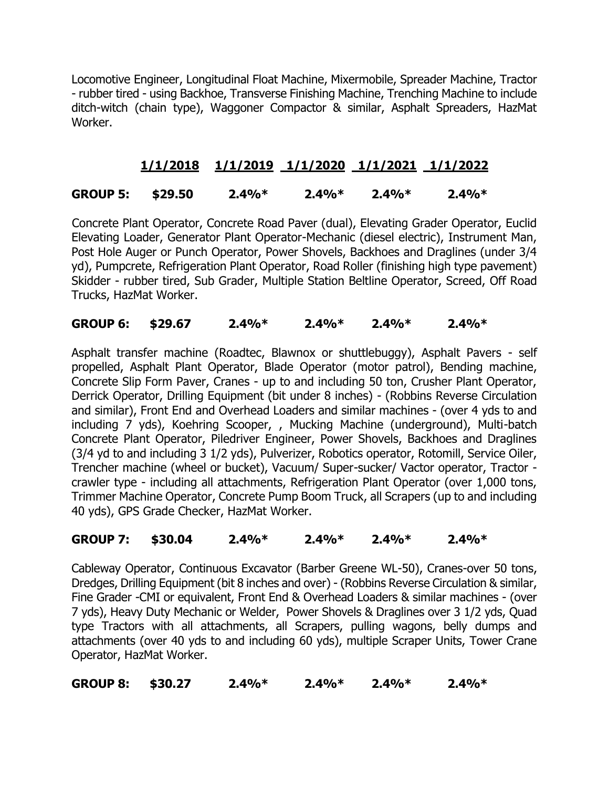Locomotive Engineer, Longitudinal Float Machine, Mixermobile, Spreader Machine, Tractor - rubber tired - using Backhoe, Transverse Finishing Machine, Trenching Machine to include ditch-witch (chain type), Waggoner Compactor & similar, Asphalt Spreaders, HazMat Worker.

# **1/1/2018 1/1/2019 1/1/2020 1/1/2021 1/1/2022**

# **GROUP 5: \$29.50 2.4%\* 2.4%\* 2.4%\* 2.4%\***

 Concrete Plant Operator, Concrete Road Paver (dual), Elevating Grader Operator, Euclid Elevating Loader, Generator Plant Operator-Mechanic (diesel electric), Instrument Man, Post Hole Auger or Punch Operator, Power Shovels, Backhoes and Draglines (under 3/4 yd), Pumpcrete, Refrigeration Plant Operator, Road Roller (finishing high type pavement) Skidder - rubber tired, Sub Grader, Multiple Station Beltline Operator, Screed, Off Road Trucks, HazMat Worker.

# **GROUP 6: \$29.67 2.4%\* 2.4%\* 2.4%\* 2.4%\***

 Asphalt transfer machine (Roadtec, Blawnox or shuttlebuggy), Asphalt Pavers - self propelled, Asphalt Plant Operator, Blade Operator (motor patrol), Bending machine, Concrete Slip Form Paver, Cranes - up to and including 50 ton, Crusher Plant Operator, Derrick Operator, Drilling Equipment (bit under 8 inches) - (Robbins Reverse Circulation and similar), Front End and Overhead Loaders and similar machines - (over 4 yds to and including 7 yds), Koehring Scooper, , Mucking Machine (underground), Multi-batch Concrete Plant Operator, Piledriver Engineer, Power Shovels, Backhoes and Draglines (3/4 yd to and including 3 1/2 yds), Pulverizer, Robotics operator, Rotomill, Service Oiler, Trencher machine (wheel or bucket), Vacuum/ Super-sucker/ Vactor operator, Tractor crawler type - including all attachments, Refrigeration Plant Operator (over 1,000 tons, Trimmer Machine Operator, Concrete Pump Boom Truck, all Scrapers (up to and including 40 yds), GPS Grade Checker, HazMat Worker.

# **GROUP 7: \$30.04 2.4%\* 2.4%\* 2.4%\* 2.4%\***

Cableway Operator, Continuous Excavator (Barber Greene WL-50), Cranes-over 50 tons, Dredges, Drilling Equipment (bit 8 inches and over) - (Robbins Reverse Circulation & similar, Fine Grader -CMI or equivalent, Front End & Overhead Loaders & similar machines - (over 7 yds), Heavy Duty Mechanic or Welder, Power Shovels & Draglines over 3 1/2 yds, Quad type Tractors with all attachments, all Scrapers, pulling wagons, belly dumps and attachments (over 40 yds to and including 60 yds), multiple Scraper Units, Tower Crane Operator, HazMat Worker.

**GROUP 8: \$30.27 2.4%\* 2.4%\* 2.4%\* 2.4%\***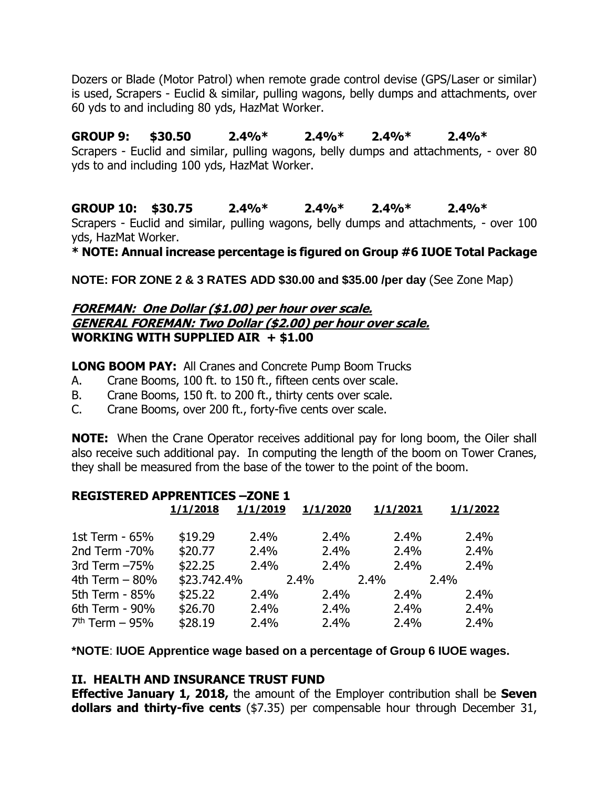Dozers or Blade (Motor Patrol) when remote grade control devise (GPS/Laser or similar) is used, Scrapers - Euclid & similar, pulling wagons, belly dumps and attachments, over 60 yds to and including 80 yds, HazMat Worker.

**GROUP 9: \$30.50 2.4%\* 2.4%\* 2.4%\* 2.4%\*** Scrapers - Euclid and similar, pulling wagons, belly dumps and attachments, - over 80 yds to and including 100 yds, HazMat Worker.

**GROUP 10: \$30.75 2.4%\* 2.4%\* 2.4%\* 2.4%\*** Scrapers - Euclid and similar, pulling wagons, belly dumps and attachments, - over 100 yds, HazMat Worker.

**\* NOTE: Annual increase percentage is figured on Group #6 IUOE Total Package**

**NOTE: FOR ZONE 2 & 3 RATES ADD \$30.00 and \$35.00 /per day** (See Zone Map)

### **FOREMAN: One Dollar (\$1.00) per hour over scale. GENERAL FOREMAN: Two Dollar (\$2.00) per hour over scale. WORKING WITH SUPPLIED AIR + \$1.00**

**LONG BOOM PAY:** All Cranes and Concrete Pump Boom Trucks

- A. Crane Booms, 100 ft. to 150 ft., fifteen cents over scale.
- B. Crane Booms, 150 ft. to 200 ft., thirty cents over scale.
- C. Crane Booms, over 200 ft., forty-five cents over scale.

**NOTE:** When the Crane Operator receives additional pay for long boom, the Oiler shall also receive such additional pay. In computing the length of the boom on Tower Cranes, they shall be measured from the base of the tower to the point of the boom.

| <b>REGISTERED APPRENTICES -ZONE 1</b> |             |          |          |          |          |  |  |  |
|---------------------------------------|-------------|----------|----------|----------|----------|--|--|--|
|                                       | 1/1/2018    | 1/1/2019 | 1/1/2020 | 1/1/2021 | 1/1/2022 |  |  |  |
| 1st Term - 65%                        | \$19.29     | 2.4%     | 2.4%     | 2.4%     | 2.4%     |  |  |  |
| 2nd Term -70%                         | \$20.77     | 2.4%     | 2.4%     | 2.4%     | 2.4%     |  |  |  |
| 3rd Term $-75%$                       | \$22.25     | 2.4%     | 2.4%     | 2.4%     | 2.4%     |  |  |  |
| 4th Term $-80%$                       | \$23.742.4% |          | 2.4%     | 2.4%     | 2.4%     |  |  |  |
| 5th Term - 85%                        | \$25.22     | 2.4%     | 2.4%     | 2.4%     | 2.4%     |  |  |  |
| 6th Term - 90%                        | \$26.70     | 2.4%     | 2.4%     | 2.4%     | 2.4%     |  |  |  |
| $7th$ Term – 95%                      | \$28.19     | 2.4%     | 2.4%     | 2.4%     | 2.4%     |  |  |  |

**\*NOTE**: **IUOE Apprentice wage based on a percentage of Group 6 IUOE wages.**

## **II. HEALTH AND INSURANCE TRUST FUND**

**Effective January 1, 2018,** the amount of the Employer contribution shall be **Seven dollars and thirty-five cents** (\$7.35) per compensable hour through December 31,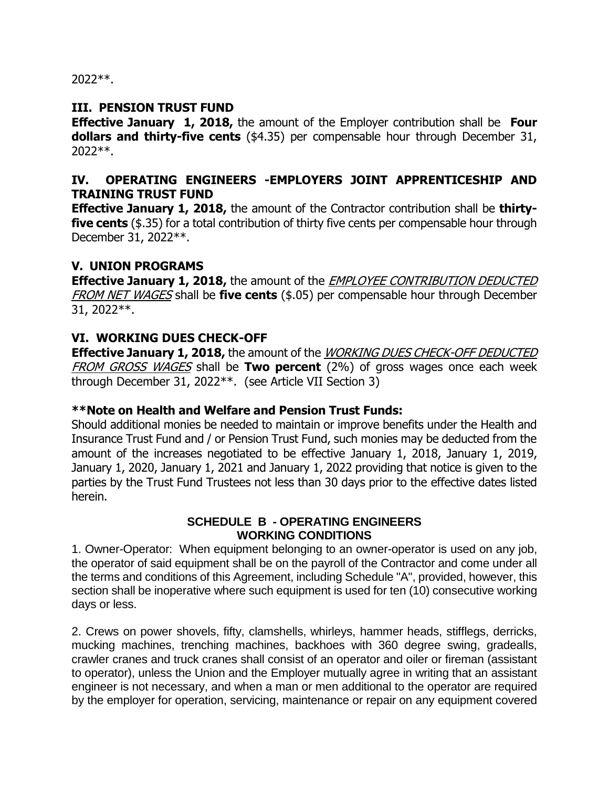2022\*\*.

## **III. PENSION TRUST FUND**

**Effective January 1, 2018,** the amount of the Employer contribution shall be **Four dollars and thirty-five cents** (\$4.35) per compensable hour through December 31, 2022\*\*.

# **IV. OPERATING ENGINEERS -EMPLOYERS JOINT APPRENTICESHIP AND TRAINING TRUST FUND**

**Effective January 1, 2018,** the amount of the Contractor contribution shall be **thirtyfive cents** (\$.35) for a total contribution of thirty five cents per compensable hour through December 31, 2022\*\*.

# **V. UNION PROGRAMS**

**Effective January 1, 2018,** the amount of the EMPLOYEE CONTRIBUTION DEDUCTED FROM NET WAGES shall be **five cents** (\$.05) per compensable hour through December 31, 2022\*\*.

# **VI. WORKING DUES CHECK-OFF**

**Effective January 1, 2018,** the amount of the WORKING DUES CHECK-OFF DEDUCTED FROM GROSS WAGES shall be **Two percent** (2%) of gross wages once each week through December 31, 2022\*\*. (see Article VII Section 3)

## **\*\*Note on Health and Welfare and Pension Trust Funds:**

Should additional monies be needed to maintain or improve benefits under the Health and Insurance Trust Fund and / or Pension Trust Fund, such monies may be deducted from the amount of the increases negotiated to be effective January 1, 2018, January 1, 2019, January 1, 2020, January 1, 2021 and January 1, 2022 providing that notice is given to the parties by the Trust Fund Trustees not less than 30 days prior to the effective dates listed herein.

### **SCHEDULE B - OPERATING ENGINEERS WORKING CONDITIONS**

1. Owner-Operator: When equipment belonging to an owner-operator is used on any job, the operator of said equipment shall be on the payroll of the Contractor and come under all the terms and conditions of this Agreement, including Schedule "A", provided, however, this section shall be inoperative where such equipment is used for ten (10) consecutive working days or less.

2. Crews on power shovels, fifty, clamshells, whirleys, hammer heads, stifflegs, derricks, mucking machines, trenching machines, backhoes with 360 degree swing, gradealls, crawler cranes and truck cranes shall consist of an operator and oiler or fireman (assistant to operator), unless the Union and the Employer mutually agree in writing that an assistant engineer is not necessary, and when a man or men additional to the operator are required by the employer for operation, servicing, maintenance or repair on any equipment covered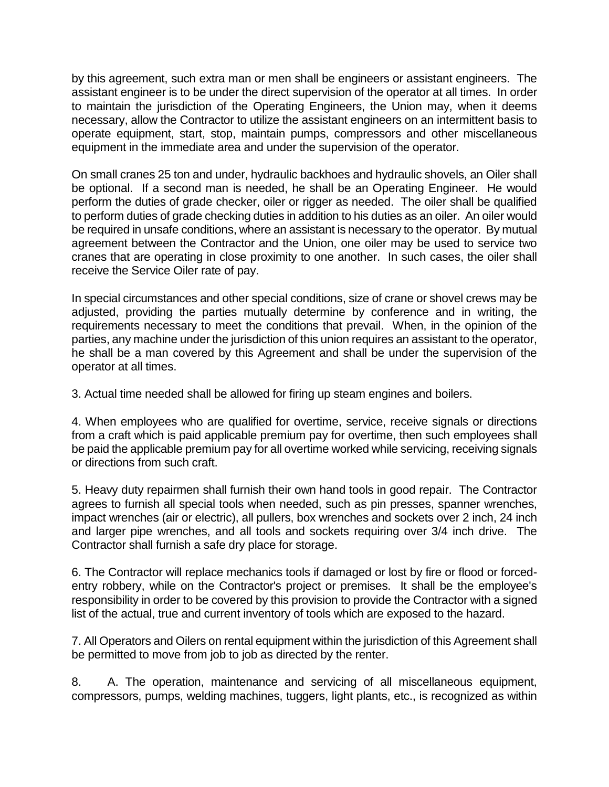by this agreement, such extra man or men shall be engineers or assistant engineers. The assistant engineer is to be under the direct supervision of the operator at all times. In order to maintain the jurisdiction of the Operating Engineers, the Union may, when it deems necessary, allow the Contractor to utilize the assistant engineers on an intermittent basis to operate equipment, start, stop, maintain pumps, compressors and other miscellaneous equipment in the immediate area and under the supervision of the operator.

On small cranes 25 ton and under, hydraulic backhoes and hydraulic shovels, an Oiler shall be optional. If a second man is needed, he shall be an Operating Engineer. He would perform the duties of grade checker, oiler or rigger as needed. The oiler shall be qualified to perform duties of grade checking duties in addition to his duties as an oiler. An oiler would be required in unsafe conditions, where an assistant is necessary to the operator. By mutual agreement between the Contractor and the Union, one oiler may be used to service two cranes that are operating in close proximity to one another. In such cases, the oiler shall receive the Service Oiler rate of pay.

In special circumstances and other special conditions, size of crane or shovel crews may be adjusted, providing the parties mutually determine by conference and in writing, the requirements necessary to meet the conditions that prevail. When, in the opinion of the parties, any machine under the jurisdiction of this union requires an assistant to the operator, he shall be a man covered by this Agreement and shall be under the supervision of the operator at all times.

3. Actual time needed shall be allowed for firing up steam engines and boilers.

4. When employees who are qualified for overtime, service, receive signals or directions from a craft which is paid applicable premium pay for overtime, then such employees shall be paid the applicable premium pay for all overtime worked while servicing, receiving signals or directions from such craft.

5. Heavy duty repairmen shall furnish their own hand tools in good repair. The Contractor agrees to furnish all special tools when needed, such as pin presses, spanner wrenches, impact wrenches (air or electric), all pullers, box wrenches and sockets over 2 inch, 24 inch and larger pipe wrenches, and all tools and sockets requiring over 3/4 inch drive. The Contractor shall furnish a safe dry place for storage.

6. The Contractor will replace mechanics tools if damaged or lost by fire or flood or forcedentry robbery, while on the Contractor's project or premises. It shall be the employee's responsibility in order to be covered by this provision to provide the Contractor with a signed list of the actual, true and current inventory of tools which are exposed to the hazard.

7. All Operators and Oilers on rental equipment within the jurisdiction of this Agreement shall be permitted to move from job to job as directed by the renter.

8. A. The operation, maintenance and servicing of all miscellaneous equipment, compressors, pumps, welding machines, tuggers, light plants, etc., is recognized as within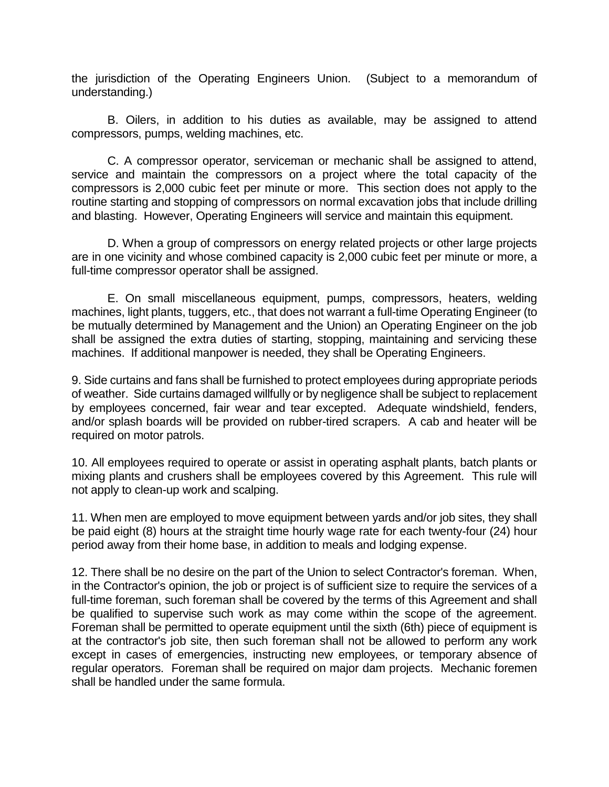the jurisdiction of the Operating Engineers Union. (Subject to a memorandum of understanding.)

 B. Oilers, in addition to his duties as available, may be assigned to attend compressors, pumps, welding machines, etc.

 C. A compressor operator, serviceman or mechanic shall be assigned to attend, service and maintain the compressors on a project where the total capacity of the compressors is 2,000 cubic feet per minute or more. This section does not apply to the routine starting and stopping of compressors on normal excavation jobs that include drilling and blasting. However, Operating Engineers will service and maintain this equipment.

 D. When a group of compressors on energy related projects or other large projects are in one vicinity and whose combined capacity is 2,000 cubic feet per minute or more, a full-time compressor operator shall be assigned.

 E. On small miscellaneous equipment, pumps, compressors, heaters, welding machines, light plants, tuggers, etc., that does not warrant a full-time Operating Engineer (to be mutually determined by Management and the Union) an Operating Engineer on the job shall be assigned the extra duties of starting, stopping, maintaining and servicing these machines. If additional manpower is needed, they shall be Operating Engineers.

9. Side curtains and fans shall be furnished to protect employees during appropriate periods of weather. Side curtains damaged willfully or by negligence shall be subject to replacement by employees concerned, fair wear and tear excepted. Adequate windshield, fenders, and/or splash boards will be provided on rubber-tired scrapers. A cab and heater will be required on motor patrols.

10. All employees required to operate or assist in operating asphalt plants, batch plants or mixing plants and crushers shall be employees covered by this Agreement. This rule will not apply to clean-up work and scalping.

11. When men are employed to move equipment between yards and/or job sites, they shall be paid eight (8) hours at the straight time hourly wage rate for each twenty-four (24) hour period away from their home base, in addition to meals and lodging expense.

12. There shall be no desire on the part of the Union to select Contractor's foreman. When, in the Contractor's opinion, the job or project is of sufficient size to require the services of a full-time foreman, such foreman shall be covered by the terms of this Agreement and shall be qualified to supervise such work as may come within the scope of the agreement. Foreman shall be permitted to operate equipment until the sixth (6th) piece of equipment is at the contractor's job site, then such foreman shall not be allowed to perform any work except in cases of emergencies, instructing new employees, or temporary absence of regular operators. Foreman shall be required on major dam projects. Mechanic foremen shall be handled under the same formula.